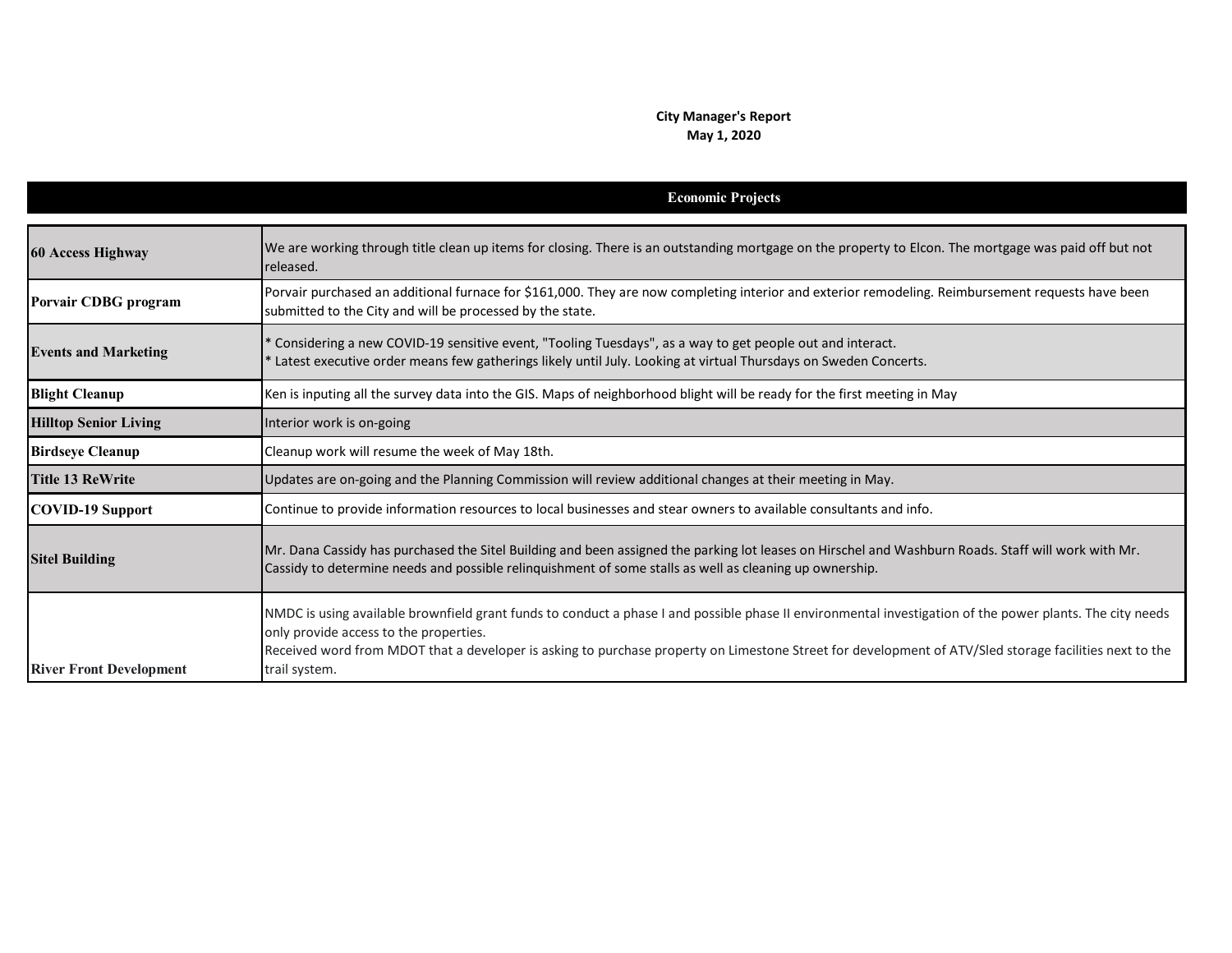## **City Manager's Report May 1, 2020**

|                                | <b>Economic Projects</b>                                                                                                                                                                                                                                                                                                                                                       |
|--------------------------------|--------------------------------------------------------------------------------------------------------------------------------------------------------------------------------------------------------------------------------------------------------------------------------------------------------------------------------------------------------------------------------|
| <b>60 Access Highway</b>       | We are working through title clean up items for closing. There is an outstanding mortgage on the property to Elcon. The mortgage was paid off but not<br>released.                                                                                                                                                                                                             |
| Porvair CDBG program           | Porvair purchased an additional furnace for \$161,000. They are now completing interior and exterior remodeling. Reimbursement requests have been<br>submitted to the City and will be processed by the state.                                                                                                                                                                 |
| <b>Events and Marketing</b>    | * Considering a new COVID-19 sensitive event, "Tooling Tuesdays", as a way to get people out and interact.<br>* Latest executive order means few gatherings likely until July. Looking at virtual Thursdays on Sweden Concerts.                                                                                                                                                |
| <b>Blight Cleanup</b>          | Ken is inputing all the survey data into the GIS. Maps of neighborhood blight will be ready for the first meeting in May                                                                                                                                                                                                                                                       |
| <b>Hilltop Senior Living</b>   | Interior work is on-going                                                                                                                                                                                                                                                                                                                                                      |
| <b>Birdseye Cleanup</b>        | Cleanup work will resume the week of May 18th.                                                                                                                                                                                                                                                                                                                                 |
| <b>Title 13 ReWrite</b>        | Updates are on-going and the Planning Commission will review additional changes at their meeting in May.                                                                                                                                                                                                                                                                       |
| <b>COVID-19 Support</b>        | Continue to provide information resources to local businesses and stear owners to available consultants and info.                                                                                                                                                                                                                                                              |
| <b>Sitel Building</b>          | Mr. Dana Cassidy has purchased the Sitel Building and been assigned the parking lot leases on Hirschel and Washburn Roads. Staff will work with Mr.<br>Cassidy to determine needs and possible relinquishment of some stalls as well as cleaning up ownership.                                                                                                                 |
| <b>River Front Development</b> | NMDC is using available brownfield grant funds to conduct a phase I and possible phase II environmental investigation of the power plants. The city needs<br>only provide access to the properties.<br>Received word from MDOT that a developer is asking to purchase property on Limestone Street for development of ATV/Sled storage facilities next to the<br>trail system. |